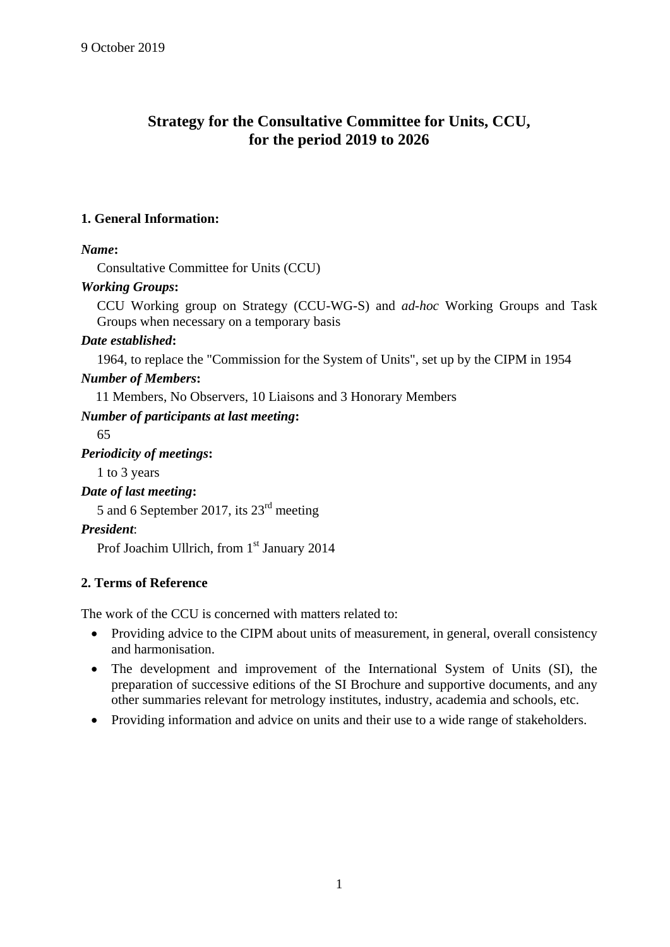## **Strategy for the Consultative Committee for Units, CCU, for the period 2019 to 2026**

## **1. General Information:**

## *Name***:**

Consultative Committee for Units (CCU)

## *Working Groups***:**

CCU Working group on Strategy (CCU-WG-S) and *ad-hoc* Working Groups and Task Groups when necessary on a temporary basis

## *Date established***:**

1964, to replace the "Commission for the System of Units", set up by the CIPM in 1954

## *Number of Members***:**

11 Members, No Observers, 10 Liaisons and 3 Honorary Members

## *Number of participants at last meeting***:**

65 *Periodicity of meetings***:** 1 to 3 years *Date of last meeting***:** 5 and 6 September 2017, its 23rd meeting *President*:

# Prof Joachim Ullrich, from 1<sup>st</sup> January 2014

## **2. Terms of Reference**

The work of the CCU is concerned with matters related to:

- Providing advice to the CIPM about units of measurement, in general, overall consistency and harmonisation.
- The development and improvement of the International System of Units (SI), the preparation of successive editions of the SI Brochure and supportive documents, and any other summaries relevant for metrology institutes, industry, academia and schools, etc.
- Providing information and advice on units and their use to a wide range of stakeholders.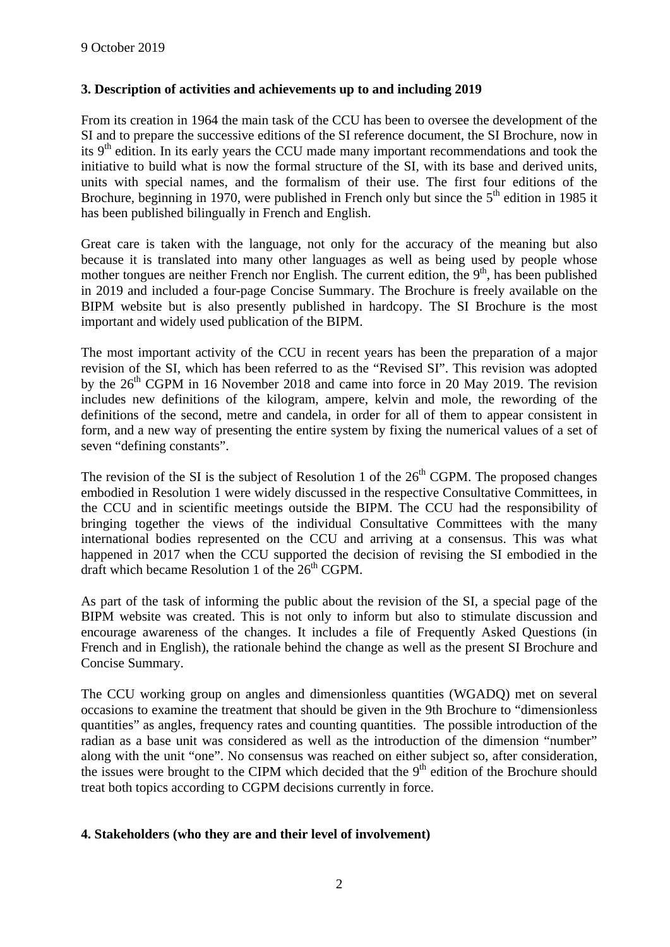#### **3. Description of activities and achievements up to and including 2019**

From its creation in 1964 the main task of the CCU has been to oversee the development of the SI and to prepare the successive editions of the SI reference document, the SI Brochure, now in its  $9<sup>th</sup>$  edition. In its early years the CCU made many important recommendations and took the initiative to build what is now the formal structure of the SI, with its base and derived units, units with special names, and the formalism of their use. The first four editions of the Brochure, beginning in 1970, were published in French only but since the  $5<sup>th</sup>$  edition in 1985 it has been published bilingually in French and English.

Great care is taken with the language, not only for the accuracy of the meaning but also because it is translated into many other languages as well as being used by people whose mother tongues are neither French nor English. The current edition, the  $9<sup>th</sup>$ , has been published in 2019 and included a four-page Concise Summary. The Brochure is freely available on the BIPM website but is also presently published in hardcopy. The SI Brochure is the most important and widely used publication of the BIPM.

The most important activity of the CCU in recent years has been the preparation of a major revision of the SI, which has been referred to as the "Revised SI". This revision was adopted by the  $26<sup>th</sup> CGPM$  in 16 November 2018 and came into force in 20 May 2019. The revision includes new definitions of the kilogram, ampere, kelvin and mole, the rewording of the definitions of the second, metre and candela, in order for all of them to appear consistent in form, and a new way of presenting the entire system by fixing the numerical values of a set of seven "defining constants".

The revision of the SI is the subject of Resolution 1 of the  $26<sup>th</sup>$  CGPM. The proposed changes embodied in Resolution 1 were widely discussed in the respective Consultative Committees, in the CCU and in scientific meetings outside the BIPM. The CCU had the responsibility of bringing together the views of the individual Consultative Committees with the many international bodies represented on the CCU and arriving at a consensus. This was what happened in 2017 when the CCU supported the decision of revising the SI embodied in the draft which became Resolution 1 of the  $26<sup>th</sup>$  CGPM.

As part of the task of informing the public about the revision of the SI, a special page of the BIPM website was created. This is not only to inform but also to stimulate discussion and encourage awareness of the changes. It includes a file of Frequently Asked Questions (in French and in English), the rationale behind the change as well as the present SI Brochure and Concise Summary.

The CCU working group on angles and dimensionless quantities (WGADQ) met on several occasions to examine the treatment that should be given in the 9th Brochure to "dimensionless quantities" as angles, frequency rates and counting quantities. The possible introduction of the radian as a base unit was considered as well as the introduction of the dimension "number" along with the unit "one". No consensus was reached on either subject so, after consideration, the issues were brought to the CIPM which decided that the  $9<sup>th</sup>$  edition of the Brochure should treat both topics according to CGPM decisions currently in force.

#### **4. Stakeholders (who they are and their level of involvement)**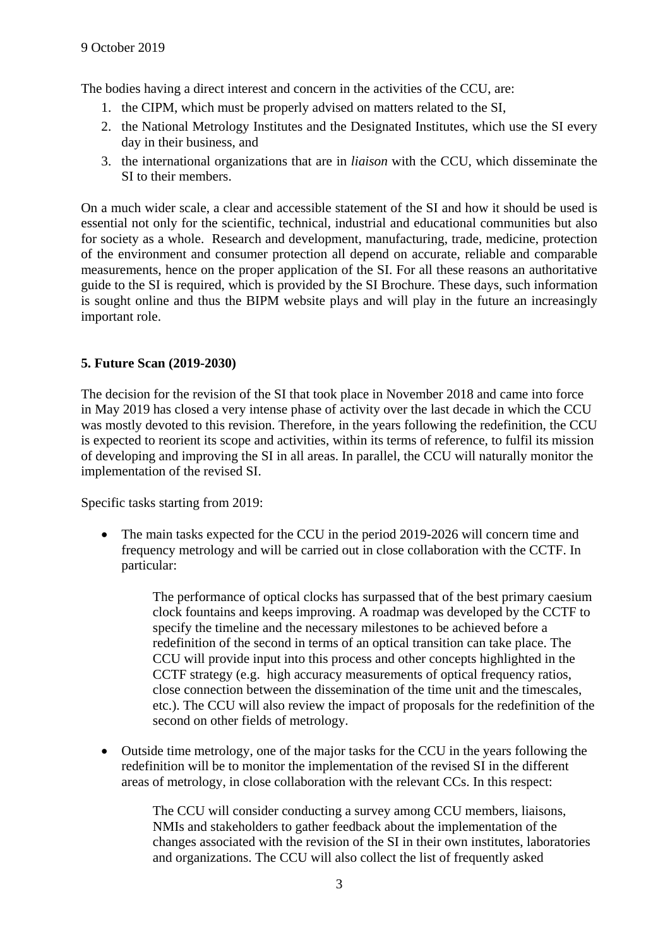The bodies having a direct interest and concern in the activities of the CCU, are:

- 1. the CIPM, which must be properly advised on matters related to the SI,
- 2. the National Metrology Institutes and the Designated Institutes, which use the SI every day in their business, and
- 3. the international organizations that are in *liaison* with the CCU, which disseminate the SI to their members.

On a much wider scale, a clear and accessible statement of the SI and how it should be used is essential not only for the scientific, technical, industrial and educational communities but also for society as a whole. Research and development, manufacturing, trade, medicine, protection of the environment and consumer protection all depend on accurate, reliable and comparable measurements, hence on the proper application of the SI. For all these reasons an authoritative guide to the SI is required, which is provided by the SI Brochure. These days, such information is sought online and thus the BIPM website plays and will play in the future an increasingly important role.

#### **5. Future Scan (2019-2030)**

The decision for the revision of the SI that took place in November 2018 and came into force in May 2019 has closed a very intense phase of activity over the last decade in which the CCU was mostly devoted to this revision. Therefore, in the years following the redefinition, the CCU is expected to reorient its scope and activities, within its terms of reference, to fulfil its mission of developing and improving the SI in all areas. In parallel, the CCU will naturally monitor the implementation of the revised SI.

Specific tasks starting from 2019:

• The main tasks expected for the CCU in the period 2019-2026 will concern time and frequency metrology and will be carried out in close collaboration with the CCTF. In particular:

> The performance of optical clocks has surpassed that of the best primary caesium clock fountains and keeps improving. A roadmap was developed by the CCTF to specify the timeline and the necessary milestones to be achieved before a redefinition of the second in terms of an optical transition can take place. The CCU will provide input into this process and other concepts highlighted in the CCTF strategy (e.g. high accuracy measurements of optical frequency ratios, close connection between the dissemination of the time unit and the timescales, etc.). The CCU will also review the impact of proposals for the redefinition of the second on other fields of metrology.

• Outside time metrology, one of the major tasks for the CCU in the years following the redefinition will be to monitor the implementation of the revised SI in the different areas of metrology, in close collaboration with the relevant CCs. In this respect:

> The CCU will consider conducting a survey among CCU members, liaisons, NMIs and stakeholders to gather feedback about the implementation of the changes associated with the revision of the SI in their own institutes, laboratories and organizations. The CCU will also collect the list of frequently asked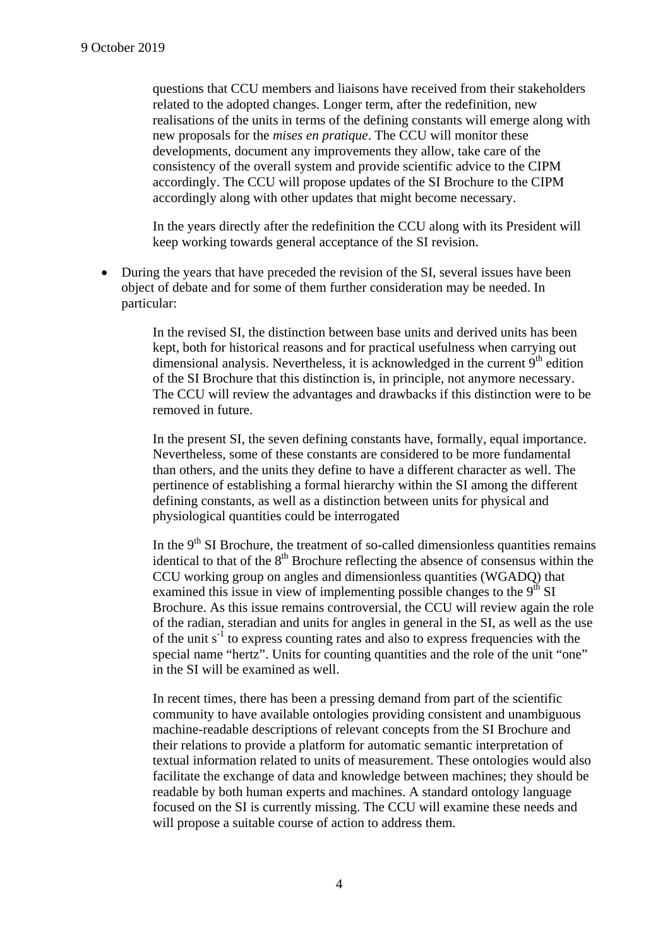questions that CCU members and liaisons have received from their stakeholders related to the adopted changes. Longer term, after the redefinition, new realisations of the units in terms of the defining constants will emerge along with new proposals for the *mises en pratique*. The CCU will monitor these developments, document any improvements they allow, take care of the consistency of the overall system and provide scientific advice to the CIPM accordingly. The CCU will propose updates of the SI Brochure to the CIPM accordingly along with other updates that might become necessary.

In the years directly after the redefinition the CCU along with its President will keep working towards general acceptance of the SI revision.

 During the years that have preceded the revision of the SI, several issues have been object of debate and for some of them further consideration may be needed. In particular:

> In the revised SI, the distinction between base units and derived units has been kept, both for historical reasons and for practical usefulness when carrying out dimensional analysis. Nevertheless, it is acknowledged in the current  $9<sup>th</sup>$  edition of the SI Brochure that this distinction is, in principle, not anymore necessary. The CCU will review the advantages and drawbacks if this distinction were to be removed in future.

> In the present SI, the seven defining constants have, formally, equal importance. Nevertheless, some of these constants are considered to be more fundamental than others, and the units they define to have a different character as well. The pertinence of establishing a formal hierarchy within the SI among the different defining constants, as well as a distinction between units for physical and physiological quantities could be interrogated

In the  $9<sup>th</sup>$  SI Brochure, the treatment of so-called dimensionless quantities remains identical to that of the  $8<sup>th</sup>$  Brochure reflecting the absence of consensus within the CCU working group on angles and dimensionless quantities (WGADQ) that examined this issue in view of implementing possible changes to the  $9<sup>th</sup>$  SI Brochure. As this issue remains controversial, the CCU will review again the role of the radian, steradian and units for angles in general in the SI, as well as the use of the unit  $s^{-1}$  to express counting rates and also to express frequencies with the special name "hertz". Units for counting quantities and the role of the unit "one" in the SI will be examined as well.

In recent times, there has been a pressing demand from part of the scientific community to have available ontologies providing consistent and unambiguous machine-readable descriptions of relevant concepts from the SI Brochure and their relations to provide a platform for automatic semantic interpretation of textual information related to units of measurement. These ontologies would also facilitate the exchange of data and knowledge between machines; they should be readable by both human experts and machines. A standard ontology language focused on the SI is currently missing. The CCU will examine these needs and will propose a suitable course of action to address them.